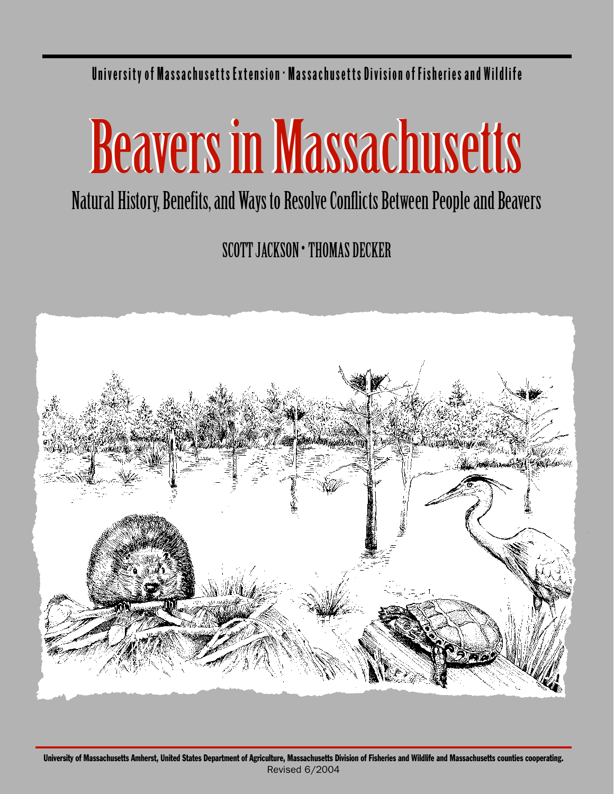University of Massachusetts Extension · Massachusetts Division of Fisheries and Wildlife

# Beavers in Massachusetts Beavers in Massachusetts

# Natural History, Benefits, and Ways to Resolve Conflicts Between People and Beavers

SCOTT JACKSON • THOMAS DECKER

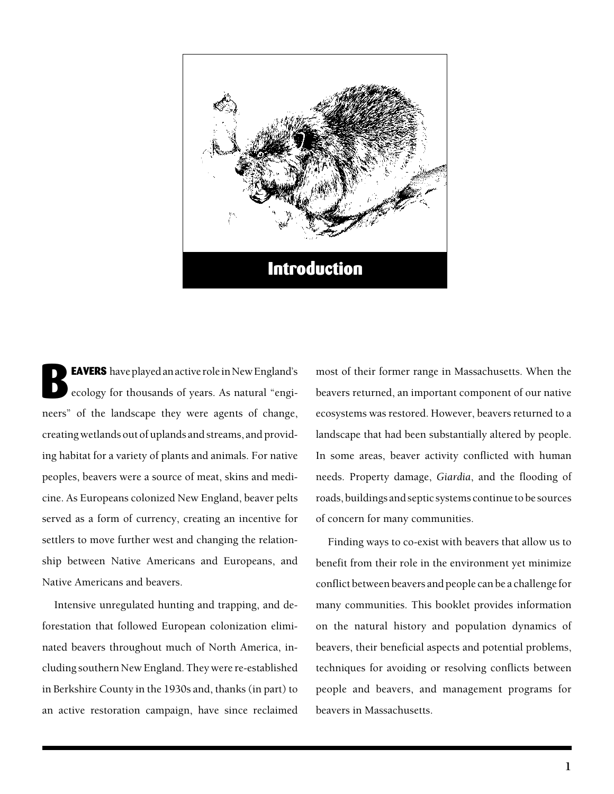

**EAVERS** have played an active role in New England's ecology for thousands of years. As natural "engiecology for thousands of years. As natural "engineers" of the landscape they were agents of change, creating wetlands out of uplands and streams, and providing habitat for a variety of plants and animals. For native peoples, beavers were a source of meat, skins and medicine. As Europeans colonized New England, beaver pelts served as a form of currency, creating an incentive for settlers to move further west and changing the relationship between Native Americans and Europeans, and Native Americans and beavers.

Intensive unregulated hunting and trapping, and deforestation that followed European colonization eliminated beavers throughout much of North America, including southern New England. They were re-established in Berkshire County in the 1930s and, thanks (in part) to an active restoration campaign, have since reclaimed most of their former range in Massachusetts. When the beavers returned, an important component of our native ecosystems was restored. However, beavers returned to a landscape that had been substantially altered by people. In some areas, beaver activity conflicted with human needs. Property damage, *Giardia*, and the flooding of roads, buildings and septic systems continue to be sources of concern for many communities.

Finding ways to co-exist with beavers that allow us to benefit from their role in the environment yet minimize conflict between beavers and people can be a challenge for many communities. This booklet provides information on the natural history and population dynamics of beavers, their beneficial aspects and potential problems, techniques for avoiding or resolving conflicts between people and beavers, and management programs for beavers in Massachusetts.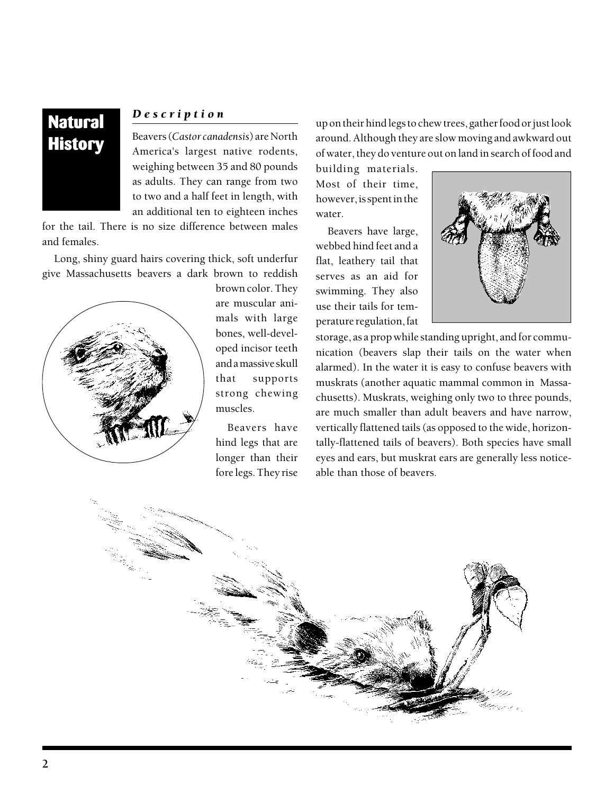## **Natural History**

## *D e s c r i p t i o n*

Beavers (*Castor canadensis*) are North America's largest native rodents, weighing between 35 and 80 pounds as adults. They can range from two to two and a half feet in length, with an additional ten to eighteen inches

for the tail. There is no size difference between males and females.

give Massachusetts beavers a dark brown to reddish Long, shiny guard hairs covering thick, soft underfur



brown color. They are muscular animals with large bones, well-developed incisor teeth and a massive skull that supports strong chewing muscles.

Beavers have hind legs that are longer than their fore legs. They rise up on their hind legs to chew trees, gather food or just look around. Although they are slow moving and awkward out of water, they do venture out on land in search of food and

building materials. Most of their time, however, is spent in the water.

Beavers have large, webbed hind feet and a flat, leathery tail that serves as an aid for swimming. They also use their tails for temperature regulation, fat



storage, as a prop while standing upright, and for communication (beavers slap their tails on the water when alarmed). In the water it is easy to confuse beavers with muskrats (another aquatic mammal common in Massachusetts). Muskrats, weighing only two to three pounds, are much smaller than adult beavers and have narrow, vertically flattened tails (as opposed to the wide, horizontally-flattened tails of beavers). Both species have small eyes and ears, but muskrat ears are generally less noticeable than those of beavers.

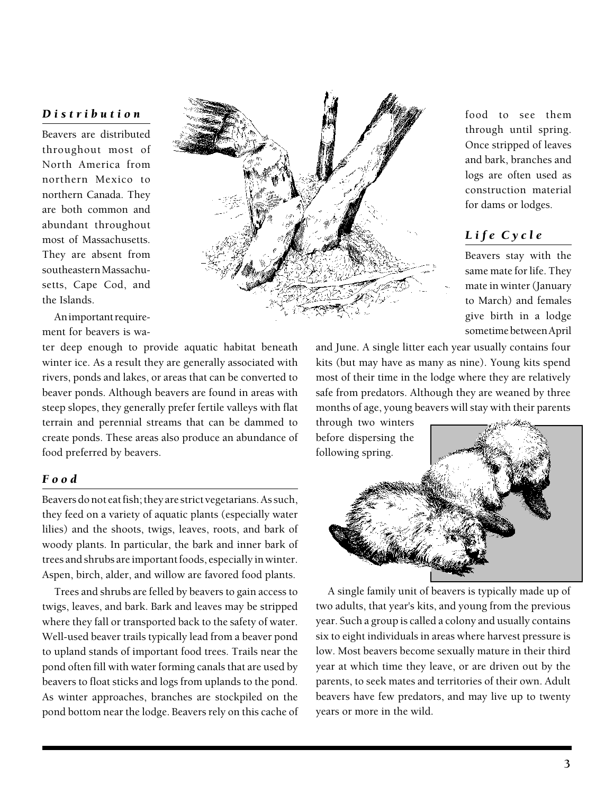The Chroughout most of and bare throughout most of and bare the stripped of leaves and bark, branches and North America from the Stripped of Laws and bark, branches and  $\ell$ abundant throughout

northern Mexico to **the contract of the contract of the contract of the contract of the contract of the contract of the contract of the contract of the contract of the contract of the contract of the contract of the contra** northern Canada. They for dams or lodges.<br>are both common and for dams or lodges. most of Massachusetts. **Life Cycle** They are absent from  $\mathbb{R}^n$   $\mathbb{R}^n$   $\mathbb{R}^n$   $\mathbb{R}^n$ southeastern Massachu- Same mate for life. They setts, Cape Cod, and  $\sqrt{2\pi}$  mate in winter (January the Islands. the Islands to March) and females An important require- and the same of the set of the set of the set of the set of the set of the set of the set of the set of the set of the set of the set of the set of the set of the set of the set of the set of the set ment for beavers is wa- sometime between April

ter deep enough to provide aquatic habitat beneath winter ice. As a result they are generally associated with rivers, ponds and lakes, or areas that can be converted to beaver ponds. Although beavers are found in areas with steep slopes, they generally prefer fertile valleys with flat terrain and perennial streams that can be dammed to create ponds. These areas also produce an abundance of food preferred by beavers.

## *F o o d*

Beavers do not eat fish; they are strict vegetarians. As such, they feed on a variety of aquatic plants (especially water lilies) and the shoots, twigs, leaves, roots, and bark of woody plants. In particular, the bark and inner bark of trees and shrubs are important foods, especially in winter. Aspen, birch, alder, and willow are favored food plants.

Trees and shrubs are felled by beavers to gain access to twigs, leaves, and bark. Bark and leaves may be stripped where they fall or transported back to the safety of water. Well-used beaver trails typically lead from a beaver pond to upland stands of important food trees. Trails near the pond often fill with water forming canals that are used by beavers to float sticks and logs from uplands to the pond. As winter approaches, branches are stockpiled on the pond bottom near the lodge. Beavers rely on this cache of and June. A single litter each year usually contains four kits (but may have as many as nine). Young kits spend most of their time in the lodge where they are relatively safe from predators. Although they are weaned by three months of age, young beavers will stay with their parents



A single family unit of beavers is typically made up of two adults, that year's kits, and young from the previous year. Such a group is called a colony and usually contains six to eight individuals in areas where harvest pressure is low. Most beavers become sexually mature in their third year at which time they leave, or are driven out by the parents, to seek mates and territories of their own. Adult beavers have few predators, and may live up to twenty years or more in the wild.

**Distribution** *dia in the second to see them* Beavers are distributed through until spring.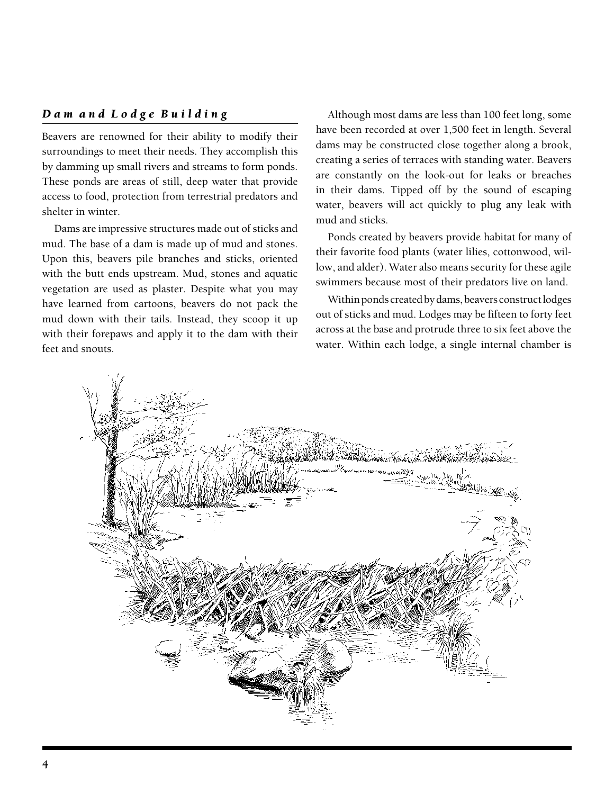## *D a m a n d L o d g e B u i l d i n g*

Beavers are renowned for their ability to modify their surroundings to meet their needs. They accomplish this by damming up small rivers and streams to form ponds. These ponds are areas of still, deep water that provide access to food, protection from terrestrial predators and shelter in winter.

Dams are impressive structures made out of sticks and mud. The base of a dam is made up of mud and stones. Upon this, beavers pile branches and sticks, oriented with the butt ends upstream. Mud, stones and aquatic vegetation are used as plaster. Despite what you may have learned from cartoons, beavers do not pack the mud down with their tails. Instead, they scoop it up with their forepaws and apply it to the dam with their feet and snouts.

Although most dams are less than 100 feet long, some have been recorded at over 1,500 feet in length. Several dams may be constructed close together along a brook, creating a series of terraces with standing water. Beavers are constantly on the look-out for leaks or breaches in their dams. Tipped off by the sound of escaping water, beavers will act quickly to plug any leak with mud and sticks.

Ponds created by beavers provide habitat for many of their favorite food plants (water lilies, cottonwood, willow, and alder). Water also means security for these agile swimmers because most of their predators live on land.

Within ponds created by dams, beavers construct lodges out of sticks and mud. Lodges may be fifteen to forty feet across at the base and protrude three to six feet above the water. Within each lodge, a single internal chamber is

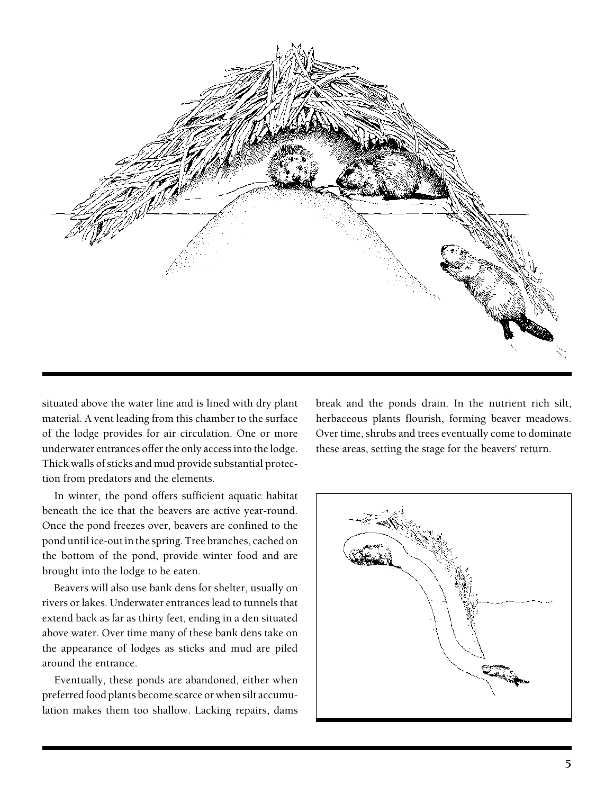

situated above the water line and is lined with dry plant material. A vent leading from this chamber to the surface of the lodge provides for air circulation. One or more underwater entrances offer the only access into the lodge. Thick walls of sticks and mud provide substantial protection from predators and the elements.

In winter, the pond offers sufficient aquatic habitat beneath the ice that the beavers are active year-round. Once the pond freezes over, beavers are confined to the pond until ice-out in the spring. Tree branches, cached on the bottom of the pond, provide winter food and are brought into the lodge to be eaten.

Beavers will also use bank dens for shelter, usually on rivers or lakes. Underwater entrances lead to tunnels that extend back as far as thirty feet, ending in a den situated above water. Over time many of these bank dens take on the appearance of lodges as sticks and mud are piled around the entrance.

Eventually, these ponds are abandoned, either when preferred food plants become scarce or when silt accumulation makes them too shallow. Lacking repairs, dams break and the ponds drain. In the nutrient rich silt, herbaceous plants flourish, forming beaver meadows. Over time, shrubs and trees eventually come to dominate these areas, setting the stage for the beavers' return.

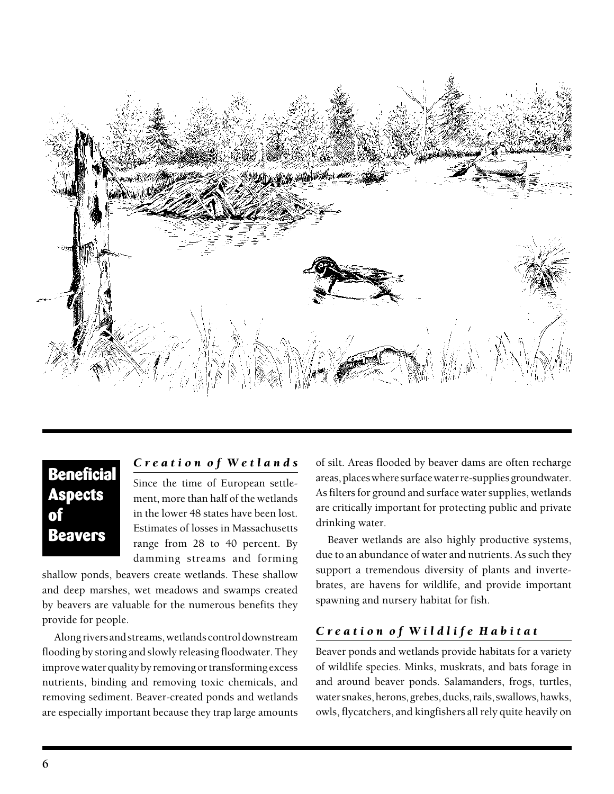

*C r e a t i o n o f W e t l a n d s* 

**Beneficial** Since the time of European settle-<br> **Aspects** ment, more than half of the wetlands ment, more than half of the wetlands **of in the lower 48 states have been lost. Beavers** Estimates of losses in Massachusetts range from 28 to 40 percent. By damming streams and forming

shallow ponds, beavers create wetlands. These shallow and deep marshes, wet meadows and swamps created by beavers are valuable for the numerous benefits they provide for people.

Along rivers and streams, wetlands control downstream flooding by storing and slowly releasing floodwater. They improve water quality by removing or transforming excess nutrients, binding and removing toxic chemicals, and removing sediment. Beaver-created ponds and wetlands are especially important because they trap large amounts

of silt. Areas flooded by beaver dams are often recharge areas, places where surface water re-supplies groundwater. As filters for ground and surface water supplies, wetlands are critically important for protecting public and private drinking water.

Beaver wetlands are also highly productive systems, due to an abundance of water and nutrients. As such they support a tremendous diversity of plants and invertebrates, are havens for wildlife, and provide important spawning and nursery habitat for fish.

## *C r e a t i o n o f W i l d l i f e H a b i t a t*

Beaver ponds and wetlands provide habitats for a variety of wildlife species. Minks, muskrats, and bats forage in and around beaver ponds. Salamanders, frogs, turtles, water snakes, herons, grebes, ducks, rails, swallows, hawks, owls, flycatchers, and kingfishers all rely quite heavily on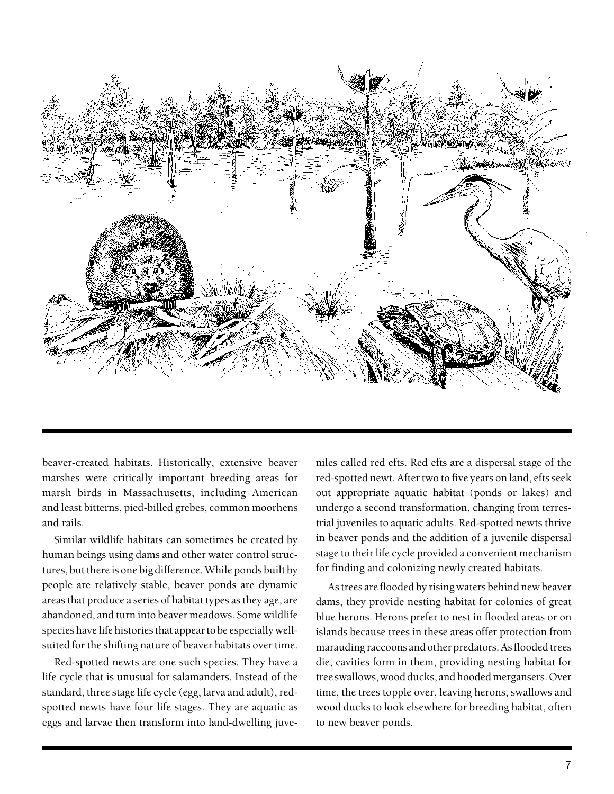

beaver-created habitats. Historically, extensive beaver marshes were critically important breeding areas for marsh birds in Massachusetts, including American and least bitterns, pied-billed grebes, common moorhens and rails.

Similar wildlife habitats can sometimes be created by human beings using dams and other water control structures, but there is one big difference. While ponds built by people are relatively stable, beaver ponds are dynamic areas that produce a series of habitat types as they age, are abandoned, and turn into beaver meadows. Some wildlife species have life histories that appear to be especially wellsuited for the shifting nature of beaver habitats over time.

Red-spotted newts are one such species. They have a life cycle that is unusual for salamanders. Instead of the standard, three stage life cycle (egg, larva and adult), redspotted newts have four life stages. They are aquatic as eggs and larvae then transform into land-dwelling juveniles called red efts. Red efts are a dispersal stage of the red-spotted newt. After two to five years on land, efts seek out appropriate aquatic habitat (ponds or lakes) and undergo a second transformation, changing from terrestrial juveniles to aquatic adults. Red-spotted newts thrive in beaver ponds and the addition of a juvenile dispersal stage to their life cycle provided a convenient mechanism for finding and colonizing newly created habitats.

As trees are flooded by rising waters behind new beaver dams, they provide nesting habitat for colonies of great blue herons. Herons prefer to nest in flooded areas or on islands because trees in these areas offer protection from marauding raccoons and other predators. As flooded trees die, cavities form in them, providing nesting habitat for tree swallows, wood ducks, and hooded mergansers. Over time, the trees topple over, leaving herons, swallows and wood ducks to look elsewhere for breeding habitat, often to new beaver ponds.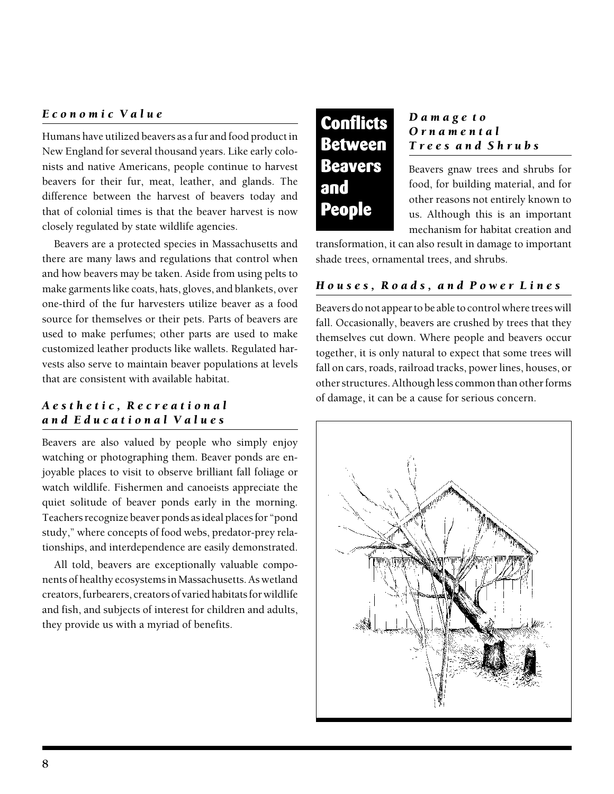## *E c o n o m i c V a l u e*

Humans have utilized beavers as a fur and food product in New England for several thousand years. Like early colonists and native Americans, people continue to harvest beavers for their fur, meat, leather, and glands. The difference between the harvest of beavers today and that of colonial times is that the beaver harvest is now closely regulated by state wildlife agencies.

Beavers are a protected species in Massachusetts and there are many laws and regulations that control when and how beavers may be taken. Aside from using pelts to make garments like coats, hats, gloves, and blankets, over one-third of the fur harvesters utilize beaver as a food source for themselves or their pets. Parts of beavers are used to make perfumes; other parts are used to make customized leather products like wallets. Regulated harvests also serve to maintain beaver populations at levels that are consistent with available habitat.

## *A e s t h e t i c , R e c r e a t i o n a l a n d E d u c a t i o n a l V a l u e s*

Beavers are also valued by people who simply enjoy watching or photographing them. Beaver ponds are enjoyable places to visit to observe brilliant fall foliage or watch wildlife. Fishermen and canoeists appreciate the quiet solitude of beaver ponds early in the morning. Teachers recognize beaver ponds as ideal places for "pond study," where concepts of food webs, predator-prey relationships, and interdependence are easily demonstrated.

All told, beavers are exceptionally valuable components of healthy ecosystems in Massachusetts. As wetland creators, furbearers, creators of varied habitats for wildlife and fish, and subjects of interest for children and adults, they provide us with a myriad of benefits.

## **Conflicts** *D a m a g e t o O r n a m e n t a l*  **Between** *T r e e s a n d S h r u b s*

**Beavers** Beavers gnaw trees and shrubs for **and food**, for building material, and for other reasons not entirely known to **People** other reasons not entirely known to us. Although this is an important mechanism for habitat creation and

transformation, it can also result in damage to important shade trees, ornamental trees, and shrubs.

## *H o u s e s , R o a d s , a n d P o w e r L i n e s*

Beavers do not appear to be able to control where trees will fall. Occasionally, beavers are crushed by trees that they themselves cut down. Where people and beavers occur together, it is only natural to expect that some trees will fall on cars, roads, railroad tracks, power lines, houses, or other structures. Although less common than other forms of damage, it can be a cause for serious concern.

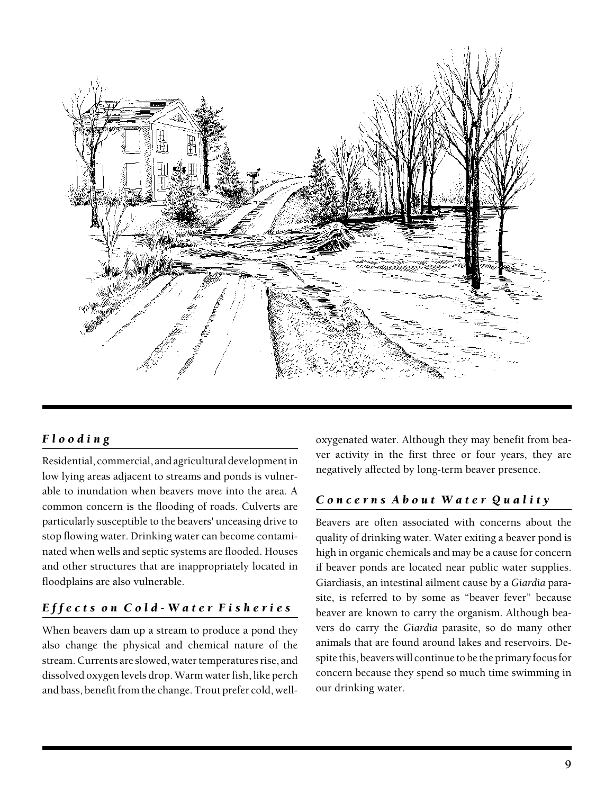

## *F l o o d i n g*

Residential, commercial, and agricultural development in low lying areas adjacent to streams and ponds is vulnerable to inundation when beavers move into the area. A common concern is the flooding of roads. Culverts are particularly susceptible to the beavers' unceasing drive to stop flowing water. Drinking water can become contaminated when wells and septic systems are flooded. Houses and other structures that are inappropriately located in floodplains are also vulnerable.

## *E f f e c t s o n C o l d - W a t e r F i s h e r i e s*

When beavers dam up a stream to produce a pond they also change the physical and chemical nature of the stream. Currents are slowed, water temperatures rise, and dissolved oxygen levels drop. Warm water fish, like perch and bass, benefit from the change. Trout prefer cold, welloxygenated water. Although they may benefit from beaver activity in the first three or four years, they are negatively affected by long-term beaver presence.

## *C o n c e r n s A b o u t W a t e r Q u a l i t y*

Beavers are often associated with concerns about the quality of drinking water. Water exiting a beaver pond is high in organic chemicals and may be a cause for concern if beaver ponds are located near public water supplies. Giardiasis, an intestinal ailment cause by a *Giardia* parasite, is referred to by some as "beaver fever" because beaver are known to carry the organism. Although beavers do carry the *Giardia* parasite, so do many other animals that are found around lakes and reservoirs. Despite this, beavers will continue to be the primary focus for concern because they spend so much time swimming in our drinking water.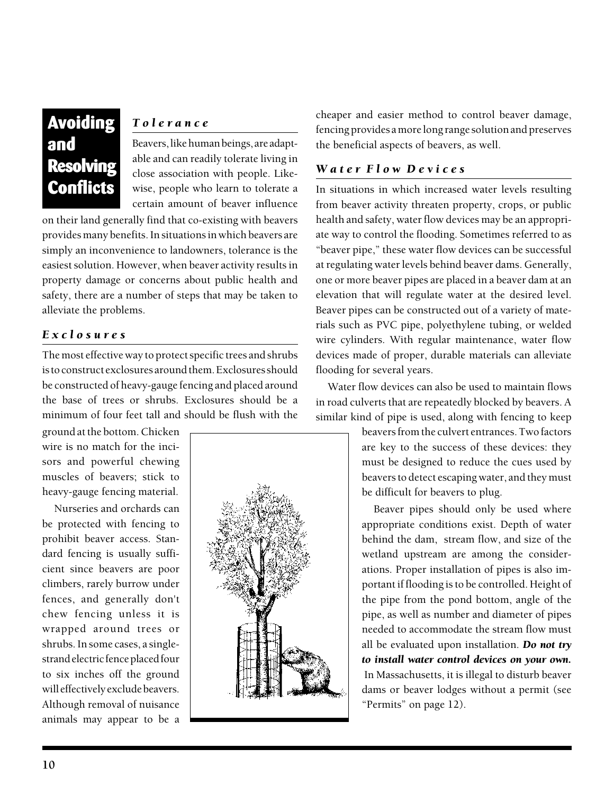# **Avoiding** *T o l e r a n c e*

**and** Beavers, like human beings, are adapt-**Resolving** able and can readily tolerate living in close association with people. Like-**Conflicts** wise, people who learn to tolerate a certain amount of beaver influence

on their land generally find that co-existing with beavers provides many benefits. In situations in which beavers are simply an inconvenience to landowners, tolerance is the easiest solution. However, when beaver activity results in property damage or concerns about public health and safety, there are a number of steps that may be taken to alleviate the problems.

## *E x c l o s u r e s*

The most effective way to protect specific trees and shrubs is to construct exclosures around them. Exclosures should be constructed of heavy-gauge fencing and placed around the base of trees or shrubs. Exclosures should be a minimum of four feet tall and should be flush with the

ground at the bottom. Chicken wire is no match for the incisors and powerful chewing muscles of beavers; stick to heavy-gauge fencing material.

Nurseries and orchards can be protected with fencing to prohibit beaver access. Standard fencing is usually sufficient since beavers are poor climbers, rarely burrow under fences, and generally don't chew fencing unless it is wrapped around trees or shrubs. In some cases, a singlestrand electric fence placed four to six inches off the ground will effectively exclude beavers. Although removal of nuisance animals may appear to be a



cheaper and easier method to control beaver damage, fencing provides a more long range solution and preserves the beneficial aspects of beavers, as well.

## *W a t e r F l o w D e v i c e s*

In situations in which increased water levels resulting from beaver activity threaten property, crops, or public health and safety, water flow devices may be an appropriate way to control the flooding. Sometimes referred to as "beaver pipe," these water flow devices can be successful at regulating water levels behind beaver dams. Generally, one or more beaver pipes are placed in a beaver dam at an elevation that will regulate water at the desired level. Beaver pipes can be constructed out of a variety of materials such as PVC pipe, polyethylene tubing, or welded wire cylinders. With regular maintenance, water flow devices made of proper, durable materials can alleviate flooding for several years.

Water flow devices can also be used to maintain flows in road culverts that are repeatedly blocked by beavers. A similar kind of pipe is used, along with fencing to keep

> beavers from the culvert entrances. Two factors are key to the success of these devices: they must be designed to reduce the cues used by beavers to detect escaping water, and they must be difficult for beavers to plug.

> Beaver pipes should only be used where appropriate conditions exist. Depth of water behind the dam, stream flow, and size of the wetland upstream are among the considerations. Proper installation of pipes is also important if flooding is to be controlled. Height of the pipe from the pond bottom, angle of the pipe, as well as number and diameter of pipes needed to accommodate the stream flow must all be evaluated upon installation. *Do not try to install water control devices on your own.*  In Massachusetts, it is illegal to disturb beaver dams or beaver lodges without a permit (see "Permits" on page 12).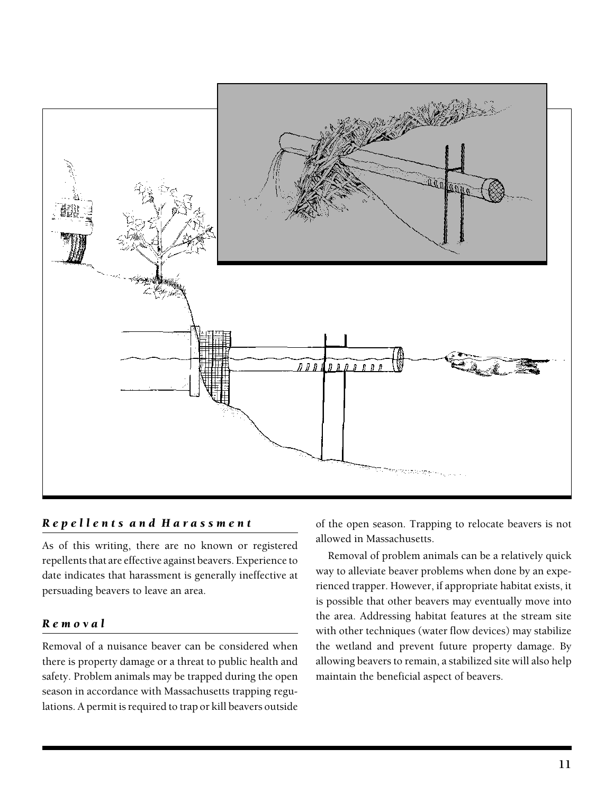

## *R e p e l l e n t s a n d H a r a s s m e n t*

As of this writing, there are no known or registered repellents that are effective against beavers. Experience to date indicates that harassment is generally ineffective at persuading beavers to leave an area.

## *R e m o v a l*

Removal of a nuisance beaver can be considered when there is property damage or a threat to public health and safety. Problem animals may be trapped during the open season in accordance with Massachusetts trapping regulations. A permit is required to trap or kill beavers outside

of the open season. Trapping to relocate beavers is not allowed in Massachusetts.

Removal of problem animals can be a relatively quick way to alleviate beaver problems when done by an experienced trapper. However, if appropriate habitat exists, it is possible that other beavers may eventually move into the area. Addressing habitat features at the stream site with other techniques (water flow devices) may stabilize the wetland and prevent future property damage. By allowing beavers to remain, a stabilized site will also help maintain the beneficial aspect of beavers.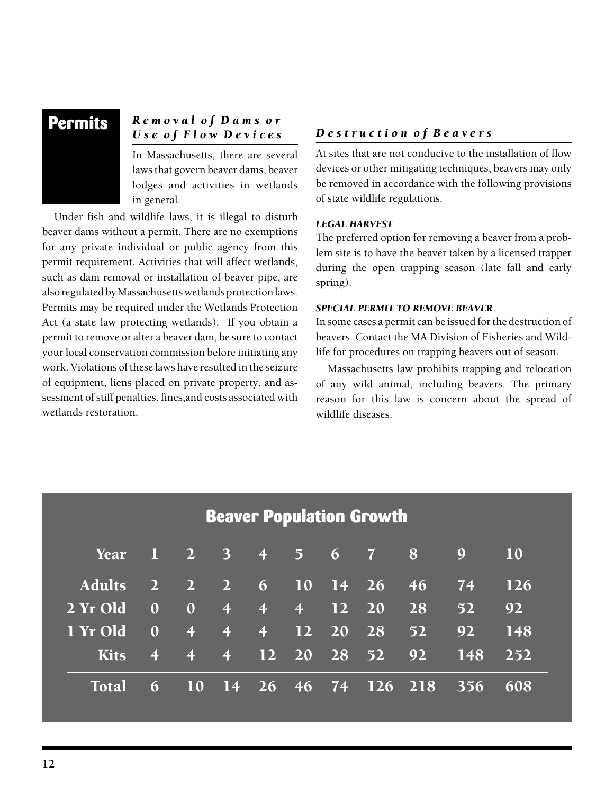# *R e m o v a l o f D a m s o r* **Permits** *U s e o f F l o w D e v i c e s*

In Massachusetts, there are several laws that govern beaver dams, beaver lodges and activities in wetlands in general.

Under fish and wildlife laws, it is illegal to disturb beaver dams without a permit. There are no exemptions for any private individual or public agency from this permit requirement. Activities that will affect wetlands, such as dam removal or installation of beaver pipe, are also regulated by Massachusetts wetlands protection laws. Permits may be required under the Wetlands Protection Act (a state law protecting wetlands). If you obtain a permit to remove or alter a beaver dam, be sure to contact your local conservation commission before initiating any work. Violations of these laws have resulted in the seizure of equipment, liens placed on private property, and assessment of stiff penalties, fines,and costs associated with wetlands restoration.

## *D e s t r u c t i o n o f B e a v e r s*

At sites that are not conducive to the installation of flow devices or other mitigating techniques, beavers may only be removed in accordance with the following provisions of state wildlife regulations.

## *LEGAL HARVEST*

The preferred option for removing a beaver from a problem site is to have the beaver taken by a licensed trapper during the open trapping season (late fall and early spring).

### *SPECIAL PERMIT TO REMOVE BEAVER*

In some cases a permit can be issued for the destruction of beavers. Contact the MA Division of Fisheries and Wildlife for procedures on trapping beavers out of season.

Massachusetts law prohibits trapping and relocation of any wild animal, including beavers. The primary reason for this law is concern about the spread of wildlife diseases.

| <b>Beaver Population Growth</b> |                                  |                  |                   |               |                  |  |                   |    |                          |            |
|---------------------------------|----------------------------------|------------------|-------------------|---------------|------------------|--|-------------------|----|--------------------------|------------|
| Year                            |                                  |                  |                   |               |                  |  | $1$ 2 3 4 5 6 7 8 |    | $\overline{\phantom{a}}$ | <b>10</b>  |
| <b>Adults</b>                   |                                  | 2 2 2 6 10 14 26 |                   |               |                  |  |                   | 46 | 74                       | <b>126</b> |
| 2 Yr Old                        | $\begin{array}{c} 0 \end{array}$ | $\bullet$        | 4                 |               | $-4$ $-12$ $-20$ |  |                   | 28 | 52                       | 92         |
| 1 Yr Old                        | $\mathbf{0}$                     |                  | $4 \quad 4 \quad$ |               | $-4$ 12 20 28    |  |                   | 52 | 92                       | <b>148</b> |
| <b>Kits</b>                     | $\overline{4}$                   | $\overline{4}$   |                   | 4 12 20 28 52 |                  |  |                   | 92 | 148                      | 252        |
| Total                           | 6                                | <b>10</b>        | TI 4              |               |                  |  | 26 46 74 126 218  |    | 356                      | 608        |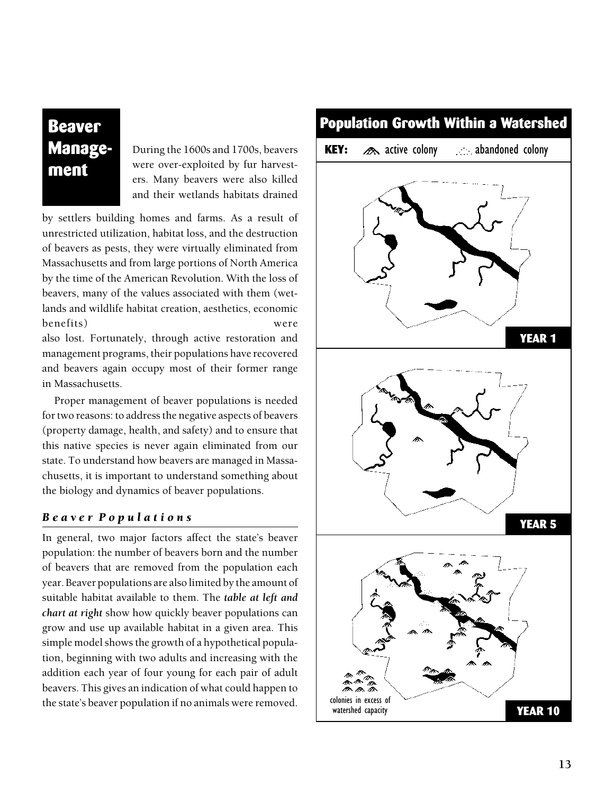# **Beaver**

**Manage-** During the 1600s and 1700s, beavers **ment** were over-exploited by fur harvesters. Many beavers were also killed and their wetlands habitats drained

by settlers building homes and farms. As a result of unrestricted utilization, habitat loss, and the destruction of beavers as pests, they were virtually eliminated from Massachusetts and from large portions of North America by the time of the American Revolution. With the loss of beavers, many of the values associated with them (wetlands and wildlife habitat creation, aesthetics, economic benefits) were

also lost. Fortunately, through active restoration and management programs, their populations have recovered and beavers again occupy most of their former range in Massachusetts.

Proper management of beaver populations is needed for two reasons: to address the negative aspects of beavers (property damage, health, and safety) and to ensure that this native species is never again eliminated from our state. To understand how beavers are managed in Massachusetts, it is important to understand something about the biology and dynamics of beaver populations.

## *B e a v e r P o p u l a t i o n s*

In general, two major factors affect the state's beaver population: the number of beavers born and the number of beavers that are removed from the population each year. Beaver populations are also limited by the amount of suitable habitat available to them. The *table at left and chart at right* show how quickly beaver populations can grow and use up available habitat in a given area. This simple model shows the growth of a hypothetical population, beginning with two adults and increasing with the addition each year of four young for each pair of adult beavers. This gives an indication of what could happen to the state's beaver population if no animals were removed.

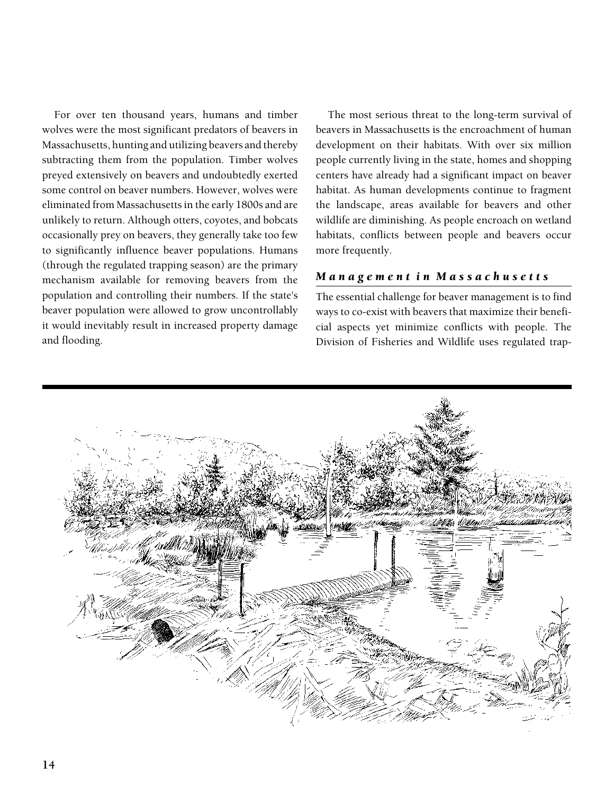For over ten thousand years, humans and timber wolves were the most significant predators of beavers in Massachusetts, hunting and utilizing beavers and thereby subtracting them from the population. Timber wolves preyed extensively on beavers and undoubtedly exerted some control on beaver numbers. However, wolves were eliminated from Massachusetts in the early 1800s and are unlikely to return. Although otters, coyotes, and bobcats occasionally prey on beavers, they generally take too few to significantly influence beaver populations. Humans (through the regulated trapping season) are the primary mechanism available for removing beavers from the population and controlling their numbers. If the state's beaver population were allowed to grow uncontrollably it would inevitably result in increased property damage and flooding.

The most serious threat to the long-term survival of beavers in Massachusetts is the encroachment of human development on their habitats. With over six million people currently living in the state, homes and shopping centers have already had a significant impact on beaver habitat. As human developments continue to fragment the landscape, areas available for beavers and other wildlife are diminishing. As people encroach on wetland habitats, conflicts between people and beavers occur more frequently.

### *M a n a g e m e n t i n M a s s a c h u s e t t s*

The essential challenge for beaver management is to find ways to co-exist with beavers that maximize their beneficial aspects yet minimize conflicts with people. The Division of Fisheries and Wildlife uses regulated trap-

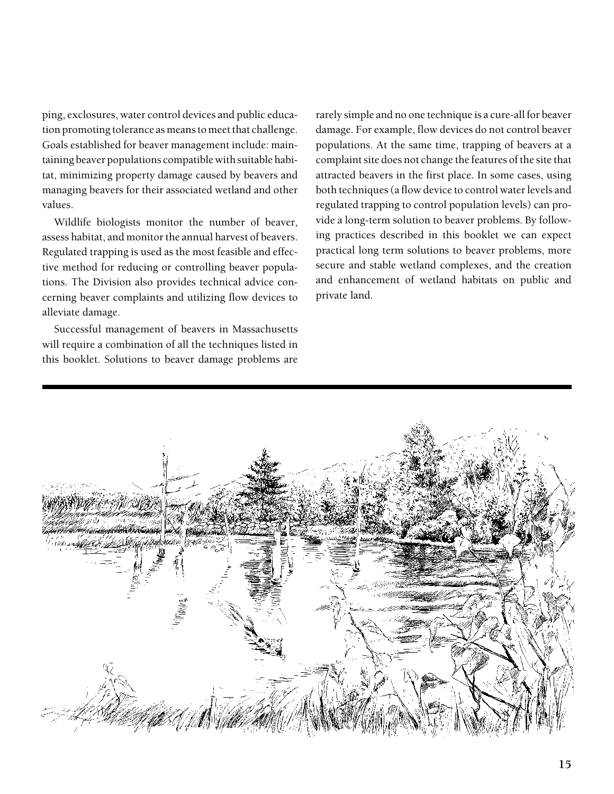ping, exclosures, water control devices and public education promoting tolerance as means to meet that challenge. Goals established for beaver management include: maintaining beaver populations compatible with suitable habitat, minimizing property damage caused by beavers and managing beavers for their associated wetland and other values.

Wildlife biologists monitor the number of beaver, assess habitat, and monitor the annual harvest of beavers. Regulated trapping is used as the most feasible and effective method for reducing or controlling beaver populations. The Division also provides technical advice concerning beaver complaints and utilizing flow devices to alleviate damage.

Successful management of beavers in Massachusetts will require a combination of all the techniques listed in this booklet. Solutions to beaver damage problems are rarely simple and no one technique is a cure-all for beaver damage. For example, flow devices do not control beaver populations. At the same time, trapping of beavers at a complaint site does not change the features of the site that attracted beavers in the first place. In some cases, using both techniques (a flow device to control water levels and regulated trapping to control population levels) can provide a long-term solution to beaver problems. By following practices described in this booklet we can expect practical long term solutions to beaver problems, more secure and stable wetland complexes, and the creation and enhancement of wetland habitats on public and private land.

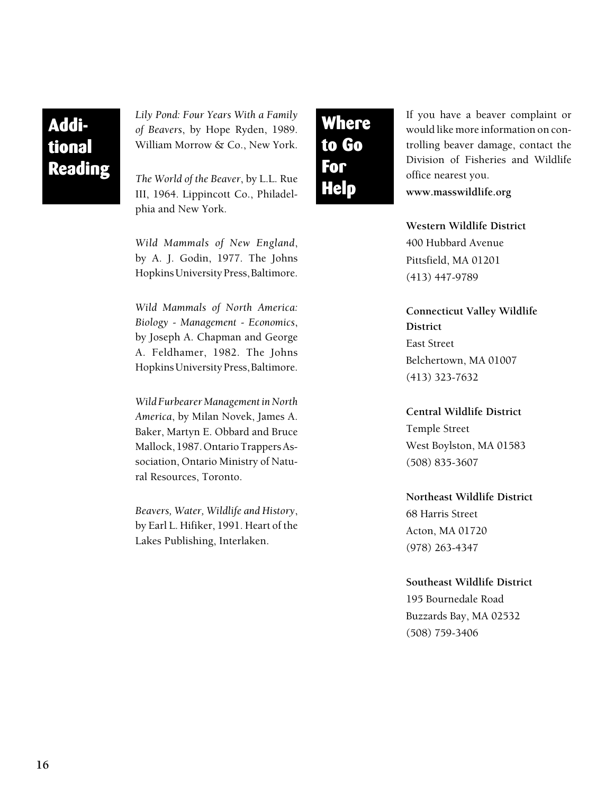## **Additional Reading**

*Lily Pond: Four Years With a Family of Beavers*, by Hope Ryden, 1989. William Morrow & Co., New York.

*The World of the Beaver*, by L.L. Rue III, 1964. Lippincott Co., Philadelphia and New York.

*Wild Mammals of New England*, by A. J. Godin, 1977. The Johns Hopkins University Press, Baltimore.

*Wild Mammals of North America: Biology - Management - Economics*, by Joseph A. Chapman and George A. Feldhamer, 1982. The Johns Hopkins University Press, Baltimore.

*Wild Furbearer Management in North America*, by Milan Novek, James A. Baker, Martyn E. Obbard and Bruce Mallock, 1987. Ontario Trappers Association, Ontario Ministry of Natural Resources, Toronto.

*Beavers, Water, Wildlife and History*, by Earl L. Hifiker, 1991. Heart of the Lakes Publishing, Interlaken.

## **Where to Go For Help**

If you have a beaver complaint or would like more information on controlling beaver damage, contact the Division of Fisheries and Wildlife office nearest you.

**www.masswildlife.org** 

**Western Wildlife District**  400 Hubbard Avenue Pittsfield, MA 01201 (413) 447-9789

**Connecticut Valley Wildlife District**  East Street Belchertown, MA 01007 (413) 323-7632

**Central Wildlife District**  Temple Street West Boylston, MA 01583 (508) 835-3607

**Northeast Wildlife District**  68 Harris Street Acton, MA 01720 (978) 263-4347

**Southeast Wildlife District**  195 Bournedale Road Buzzards Bay, MA 02532 (508) 759-3406